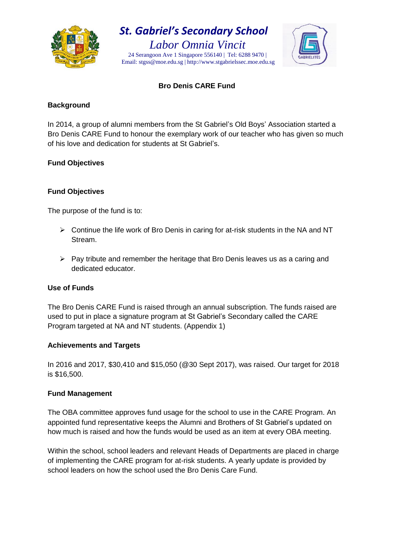

## *St. Gabriel's Secondary School*

*Labor Omnia Vincit* 24 Serangoon Ave 1 Singapore 556140 | Tel: 6288 9470 | Email: stgss@moe.edu.sg | http://www.stgabrielssec.moe.edu.sg



#### **Bro Denis CARE Fund**

#### **Background**

In 2014, a group of alumni members from the St Gabriel's Old Boys' Association started a Bro Denis CARE Fund to honour the exemplary work of our teacher who has given so much of his love and dedication for students at St Gabriel's.

### **Fund Objectives**

### **Fund Objectives**

The purpose of the fund is to:

- $\triangleright$  Continue the life work of Bro Denis in caring for at-risk students in the NA and NT Stream.
- $\triangleright$  Pay tribute and remember the heritage that Bro Denis leaves us as a caring and dedicated educator.

#### **Use of Funds**

The Bro Denis CARE Fund is raised through an annual subscription. The funds raised are used to put in place a signature program at St Gabriel's Secondary called the CARE Program targeted at NA and NT students. (Appendix 1)

#### **Achievements and Targets**

In 2016 and 2017, \$30,410 and \$15,050 (@30 Sept 2017), was raised. Our target for 2018 is \$16,500.

#### **Fund Management**

The OBA committee approves fund usage for the school to use in the CARE Program. An appointed fund representative keeps the Alumni and Brothers of St Gabriel's updated on how much is raised and how the funds would be used as an item at every OBA meeting.

Within the school, school leaders and relevant Heads of Departments are placed in charge of implementing the CARE program for at-risk students. A yearly update is provided by school leaders on how the school used the Bro Denis Care Fund.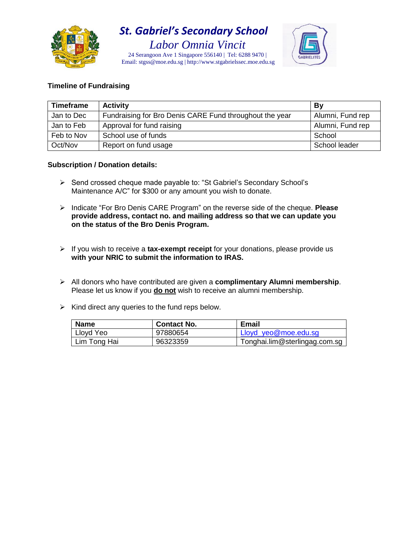

# *St. Gabriel's Secondary School*

*Labor Omnia Vincit* 24 Serangoon Ave 1 Singapore 556140 | Tel: 6288 9470 | Email: stgss@moe.edu.sg | http://www.stgabrielssec.moe.edu.sg



#### **Timeline of Fundraising**

| <b>Timeframe</b> | <b>Activity</b>                                         | By               |
|------------------|---------------------------------------------------------|------------------|
| Jan to Dec       | Fundraising for Bro Denis CARE Fund throughout the year | Alumni, Fund rep |
| Jan to Feb       | Approval for fund raising                               | Alumni, Fund rep |
| Feb to Nov       | School use of funds                                     | School           |
| Oct/Nov          | Report on fund usage                                    | School leader    |

#### **Subscription / Donation details:**

- Send crossed cheque made payable to: "St Gabriel's Secondary School's Maintenance A/C" for \$300 or any amount you wish to donate.
- Indicate "For Bro Denis CARE Program" on the reverse side of the cheque. **Please provide address, contact no. and mailing address so that we can update you on the status of the Bro Denis Program.**
- If you wish to receive a **tax***-***exempt receipt** for your donations, please provide us **with your NRIC to submit the information to IRAS.**
- All donors who have contributed are given a **complimentary Alumni membership**. Please let us know if you **do not** wish to receive an alumni membership.
- $\triangleright$  Kind direct any queries to the fund reps below.

| <b>Name</b>  | <b>Contact No.</b> | <b>Email</b>                  |
|--------------|--------------------|-------------------------------|
| Lloyd Yeo    | 97880654           | Lloyd yeo@moe.edu.sq          |
| Lim Tong Hai | 96323359           | Tonghai.lim@sterlingag.com.sg |